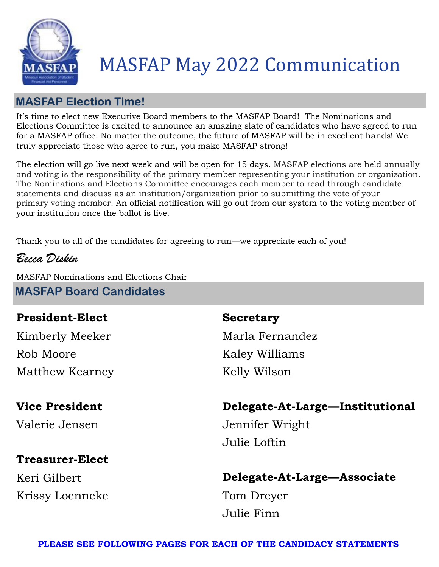

# MASFAP May 2022 Communication

### **MASFAP Election Time!**

It's time to elect new Executive Board members to the MASFAP Board! The Nominations and Elections Committee is excited to announce an amazing slate of candidates who have agreed to run for a MASFAP office. No matter the outcome, the future of MASFAP will be in excellent hands! We truly appreciate those who agree to run, you make MASFAP strong!

The election will go live next week and will be open for 15 days. MASFAP elections are held annually and voting is the responsibility of the primary member representing your institution or organization. The Nominations and Elections Committee encourages each member to read through candidate statements and discuss as an institution/organization prior to submitting the vote of your primary voting member. An official notification will go out from our system to the voting member of your institution once the ballot is live.

Thank you to all of the candidates for agreeing to run—we appreciate each of you!

*Becca Diskin*

MASFAP Nominations and Elections Chair **MASFAP Board Candidates**

### **President-Elect**

Kimberly Meeker Rob Moore Matthew Kearney

### **Vice President**

Valerie Jensen

### **Treasurer-Elect**

Keri Gilbert Krissy Loenneke

### **Secretary**

Marla Fernandez Kaley Williams Kelly Wilson

### **Delegate-At-Large—Institutional**

Jennifer Wright Julie Loftin

### **Delegate-At-Large—Associate**

Tom Dreyer Julie Finn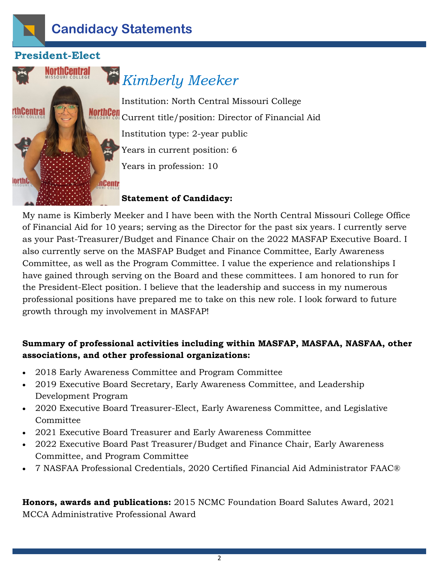

### **President-Elect**



## *Kimberly Meeker*

Institution: North Central Missouri College Current title/position: Director of Financial Aid Institution type: 2-year public Years in current position: 6 Years in profession: 10

### **Statement of Candidacy:**

My name is Kimberly Meeker and I have been with the North Central Missouri College Office of Financial Aid for 10 years; serving as the Director for the past six years. I currently serve as your Past-Treasurer/Budget and Finance Chair on the 2022 MASFAP Executive Board. I also currently serve on the MASFAP Budget and Finance Committee, Early Awareness Committee, as well as the Program Committee. I value the experience and relationships I have gained through serving on the Board and these committees. I am honored to run for the President-Elect position. I believe that the leadership and success in my numerous professional positions have prepared me to take on this new role. I look forward to future growth through my involvement in MASFAP!

### **Summary of professional activities including within MASFAP, MASFAA, NASFAA, other associations, and other professional organizations:**

- 2018 Early Awareness Committee and Program Committee
- 2019 Executive Board Secretary, Early Awareness Committee, and Leadership Development Program
- 2020 Executive Board Treasurer-Elect, Early Awareness Committee, and Legislative Committee
- 2021 Executive Board Treasurer and Early Awareness Committee
- 2022 Executive Board Past Treasurer/Budget and Finance Chair, Early Awareness Committee, and Program Committee
- 7 NASFAA Professional Credentials, 2020 Certified Financial Aid Administrator FAAC®

**Honors, awards and publications:** 2015 NCMC Foundation Board Salutes Award, 2021 MCCA Administrative Professional Award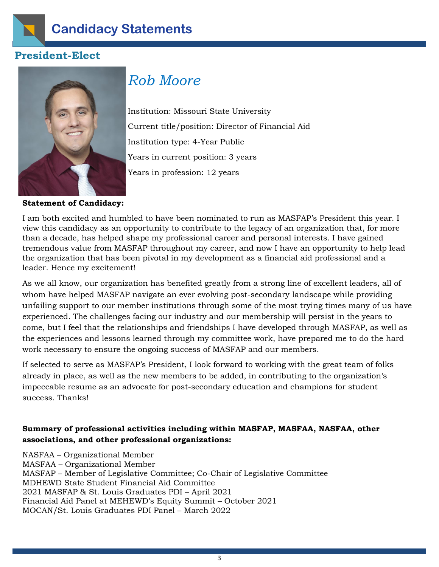

### **President-Elect**



## *Rob Moore*

Institution: Missouri State University Current title/position: Director of Financial Aid Institution type: 4-Year Public Years in current position: 3 years Years in profession: 12 years

**Statement of Candidacy:**

I am both excited and humbled to have been nominated to run as MASFAP's President this year. I view this candidacy as an opportunity to contribute to the legacy of an organization that, for more than a decade, has helped shape my professional career and personal interests. I have gained tremendous value from MASFAP throughout my career, and now I have an opportunity to help lead the organization that has been pivotal in my development as a financial aid professional and a leader. Hence my excitement!

As we all know, our organization has benefited greatly from a strong line of excellent leaders, all of whom have helped MASFAP navigate an ever evolving post-secondary landscape while providing unfailing support to our member institutions through some of the most trying times many of us have experienced. The challenges facing our industry and our membership will persist in the years to come, but I feel that the relationships and friendships I have developed through MASFAP, as well as the experiences and lessons learned through my committee work, have prepared me to do the hard work necessary to ensure the ongoing success of MASFAP and our members.

If selected to serve as MASFAP's President, I look forward to working with the great team of folks already in place, as well as the new members to be added, in contributing to the organization's impeccable resume as an advocate for post-secondary education and champions for student success. Thanks!

### **Summary of professional activities including within MASFAP, MASFAA, NASFAA, other associations, and other professional organizations:**

NASFAA – Organizational Member MASFAA – Organizational Member MASFAP – Member of Legislative Committee; Co-Chair of Legislative Committee MDHEWD State Student Financial Aid Committee 2021 MASFAP & St. Louis Graduates PDI – April 2021 Financial Aid Panel at MEHEWD's Equity Summit – October 2021 MOCAN/St. Louis Graduates PDI Panel – March 2022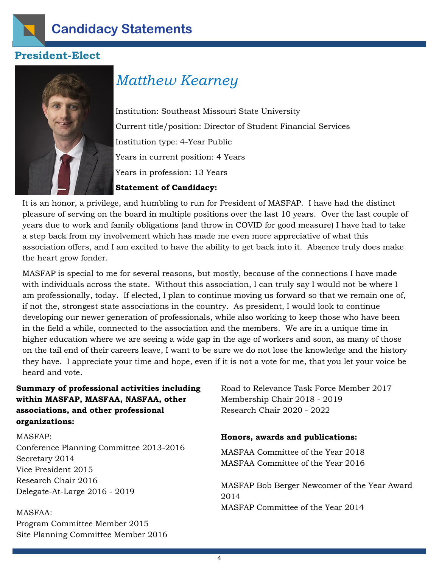

### **President-Elect**



## *Matthew Kearney*

Institution: Southeast Missouri State University Current title/position: Director of Student Financial Services Institution type: 4-Year Public Years in current position: 4 Years Years in profession: 13 Years

#### **Statement of Candidacy:**

It is an honor, a privilege, and humbling to run for President of MASFAP. I have had the distinct pleasure of serving on the board in multiple positions over the last 10 years. Over the last couple of years due to work and family obligations (and throw in COVID for good measure) I have had to take a step back from my involvement which has made me even more appreciative of what this association offers, and I am excited to have the ability to get back into it. Absence truly does make the heart grow fonder.

MASFAP is special to me for several reasons, but mostly, because of the connections I have made with individuals across the state. Without this association, I can truly say I would not be where I am professionally, today. If elected, I plan to continue moving us forward so that we remain one of, if not the, strongest state associations in the country. As president, I would look to continue developing our newer generation of professionals, while also working to keep those who have been in the field a while, connected to the association and the members. We are in a unique time in higher education where we are seeing a wide gap in the age of workers and soon, as many of those on the tail end of their careers leave, I want to be sure we do not lose the knowledge and the history they have. I appreciate your time and hope, even if it is not a vote for me, that you let your voice be heard and vote.

**Summary of professional activities including within MASFAP, MASFAA, NASFAA, other associations, and other professional organizations:**

MASFAP: Conference Planning Committee 2013-2016 Secretary 2014 Vice President 2015 Research Chair 2016 Delegate-At-Large 2016 - 2019

### MASFAA: Program Committee Member 2015 Site Planning Committee Member 2016

Road to Relevance Task Force Member 2017 Membership Chair 2018 - 2019 Research Chair 2020 - 2022

#### **Honors, awards and publications:**

MASFAA Committee of the Year 2018 MASFAA Committee of the Year 2016

MASFAP Bob Berger Newcomer of the Year Award 2014 MASFAP Committee of the Year 2014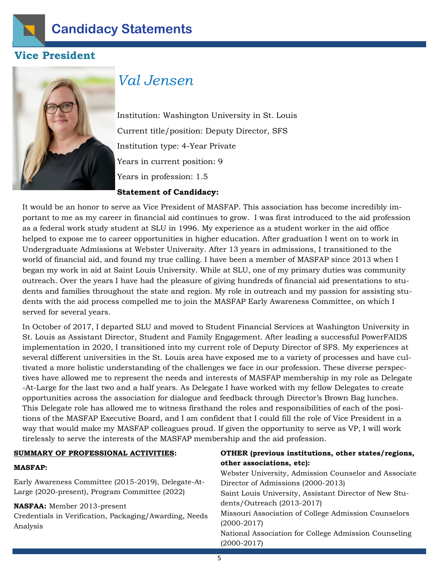

### **Vice President**



### *Val Jensen*

Institution: Washington University in St. Louis Current title/position: Deputy Director, SFS Institution type: 4-Year Private Years in current position: 9 Years in profession: 1.5

#### **Statement of Candidacy:**

It would be an honor to serve as Vice President of MASFAP. This association has become incredibly important to me as my career in financial aid continues to grow. I was first introduced to the aid profession as a federal work study student at SLU in 1996. My experience as a student worker in the aid office helped to expose me to career opportunities in higher education. After graduation I went on to work in Undergraduate Admissions at Webster University. After 13 years in admissions, I transitioned to the world of financial aid, and found my true calling. I have been a member of MASFAP since 2013 when I began my work in aid at Saint Louis University. While at SLU, one of my primary duties was community outreach. Over the years I have had the pleasure of giving hundreds of financial aid presentations to students and families throughout the state and region. My role in outreach and my passion for assisting students with the aid process compelled me to join the MASFAP Early Awareness Committee, on which I served for several years.

In October of 2017, I departed SLU and moved to Student Financial Services at Washington University in St. Louis as Assistant Director, Student and Family Engagement. After leading a successful PowerFAIDS implementation in 2020, I transitioned into my current role of Deputy Director of SFS. My experiences at several different universities in the St. Louis area have exposed me to a variety of processes and have cultivated a more holistic understanding of the challenges we face in our profession. These diverse perspectives have allowed me to represent the needs and interests of MASFAP membership in my role as Delegate -At-Large for the last two and a half years. As Delegate I have worked with my fellow Delegates to create opportunities across the association for dialogue and feedback through Director's Brown Bag lunches. This Delegate role has allowed me to witness firsthand the roles and responsibilities of each of the positions of the MASFAP Executive Board, and I am confident that I could fill the role of Vice President in a way that would make my MASFAP colleagues proud. If given the opportunity to serve as VP, I will work tirelessly to serve the interests of the MASFAP membership and the aid profession.

#### **SUMMARY OF PROFESSIONAL ACTIVITIES:**

#### **MASFAP:**

Early Awareness Committee (2015-2019), Delegate-At-Large (2020-present), Program Committee (2022)

#### **NASFAA:** Member 2013-present

Credentials in Verification, Packaging/Awarding, Needs Analysis

#### **OTHER (previous institutions, other states/regions, other associations, etc):**

Webster University, Admission Counselor and Associate Director of Admissions (2000-2013) Saint Louis University, Assistant Director of New Students/Outreach (2013-2017) Missouri Association of College Admission Counselors (2000-2017) National Association for College Admission Counseling (2000-2017)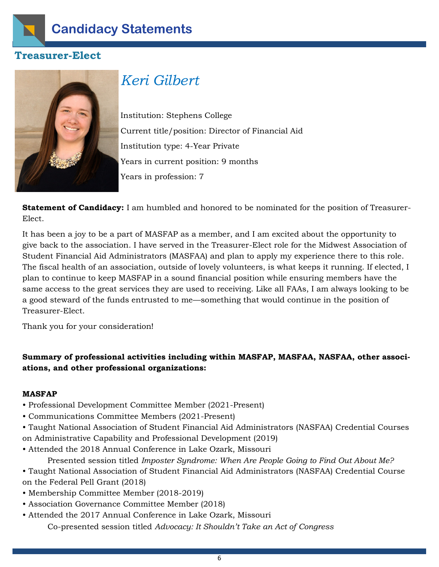

### **Treasurer-Elect**



## *Keri Gilbert*

Institution: Stephens College Current title/position: Director of Financial Aid Institution type: 4-Year Private Years in current position: 9 months Years in profession: 7

**Statement of Candidacy:** I am humbled and honored to be nominated for the position of Treasurer-Elect.

It has been a joy to be a part of MASFAP as a member, and I am excited about the opportunity to give back to the association. I have served in the Treasurer-Elect role for the Midwest Association of Student Financial Aid Administrators (MASFAA) and plan to apply my experience there to this role. The fiscal health of an association, outside of lovely volunteers, is what keeps it running. If elected, I plan to continue to keep MASFAP in a sound financial position while ensuring members have the same access to the great services they are used to receiving. Like all FAAs, I am always looking to be a good steward of the funds entrusted to me—something that would continue in the position of Treasurer-Elect.

Thank you for your consideration!

### **Summary of professional activities including within MASFAP, MASFAA, NASFAA, other associations, and other professional organizations:**

#### **MASFAP**

- Professional Development Committee Member (2021-Present)
- Communications Committee Members (2021-Present)
- Taught National Association of Student Financial Aid Administrators (NASFAA) Credential Courses on Administrative Capability and Professional Development (2019)
- Attended the 2018 Annual Conference in Lake Ozark, Missouri
	- Presented session titled *Imposter Syndrome: When Are People Going to Find Out About Me?*
- Taught National Association of Student Financial Aid Administrators (NASFAA) Credential Course on the Federal Pell Grant (2018)
- Membership Committee Member (2018-2019)
- Association Governance Committee Member (2018)
- Attended the 2017 Annual Conference in Lake Ozark, Missouri

Co-presented session titled *Advocacy: It Shouldn't Take an Act of Congress*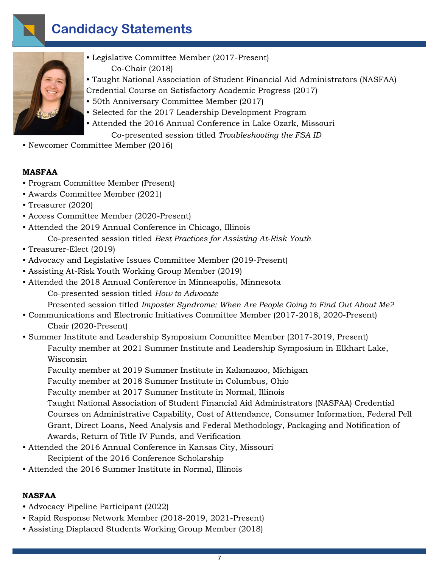

- Legislative Committee Member (2017-Present) Co-Chair (2018)
- Taught National Association of Student Financial Aid Administrators (NASFAA) Credential Course on Satisfactory Academic Progress (2017)
- 50th Anniversary Committee Member (2017)
- Selected for the 2017 Leadership Development Program
- Attended the 2016 Annual Conference in Lake Ozark, Missouri Co-presented session titled *Troubleshooting the FSA ID*
- Newcomer Committee Member (2016)

#### **MASFAA**

- Program Committee Member (Present)
- Awards Committee Member (2021)
- Treasurer (2020)
- Access Committee Member (2020-Present)
- Attended the 2019 Annual Conference in Chicago, Illinois Co-presented session titled *Best Practices for Assisting At-Risk Youth*
- Treasurer-Elect (2019)
- Advocacy and Legislative Issues Committee Member (2019-Present)
- Assisting At-Risk Youth Working Group Member (2019)
- Attended the 2018 Annual Conference in Minneapolis, Minnesota

Co-presented session titled *How to Advocate*

Presented session titled *Imposter Syndrome: When Are People Going to Find Out About Me?*

- Communications and Electronic Initiatives Committee Member (2017-2018, 2020-Present) Chair (2020-Present)
- Summer Institute and Leadership Symposium Committee Member (2017-2019, Present) Faculty member at 2021 Summer Institute and Leadership Symposium in Elkhart Lake, Wisconsin

Faculty member at 2019 Summer Institute in Kalamazoo, Michigan

Faculty member at 2018 Summer Institute in Columbus, Ohio

Faculty member at 2017 Summer Institute in Normal, Illinois

 Taught National Association of Student Financial Aid Administrators (NASFAA) Credential Courses on Administrative Capability, Cost of Attendance, Consumer Information, Federal Pell Grant, Direct Loans, Need Analysis and Federal Methodology, Packaging and Notification of Awards, Return of Title IV Funds, and Verification

- Attended the 2016 Annual Conference in Kansas City, Missouri Recipient of the 2016 Conference Scholarship
- Attended the 2016 Summer Institute in Normal, Illinois

#### **NASFAA**

- Advocacy Pipeline Participant (2022)
- Rapid Response Network Member (2018-2019, 2021-Present)
- Assisting Displaced Students Working Group Member (2018)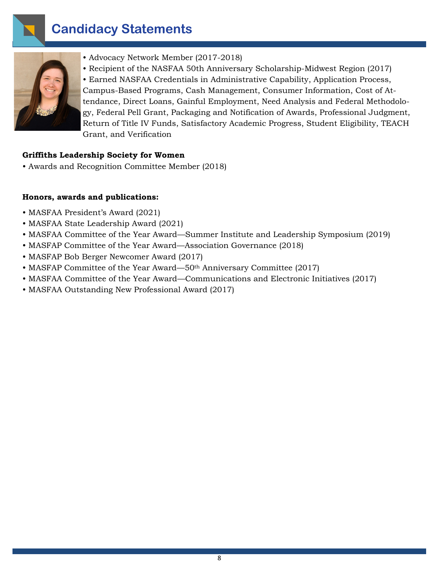



- Advocacy Network Member (2017-2018)
- Recipient of the NASFAA 50th Anniversary Scholarship-Midwest Region (2017)

• Earned NASFAA Credentials in Administrative Capability, Application Process, Campus-Based Programs, Cash Management, Consumer Information, Cost of Attendance, Direct Loans, Gainful Employment, Need Analysis and Federal Methodology, Federal Pell Grant, Packaging and Notification of Awards, Professional Judgment, Return of Title IV Funds, Satisfactory Academic Progress, Student Eligibility, TEACH Grant, and Verification

#### **Griffiths Leadership Society for Women**

• Awards and Recognition Committee Member (2018)

#### **Honors, awards and publications:**

- MASFAA President's Award (2021)
- MASFAA State Leadership Award (2021)
- MASFAA Committee of the Year Award—Summer Institute and Leadership Symposium (2019)
- MASFAP Committee of the Year Award—Association Governance (2018)
- MASFAP Bob Berger Newcomer Award (2017)
- MASFAP Committee of the Year Award—50<sup>th</sup> Anniversary Committee (2017)
- MASFAA Committee of the Year Award—Communications and Electronic Initiatives (2017)
- MASFAA Outstanding New Professional Award (2017)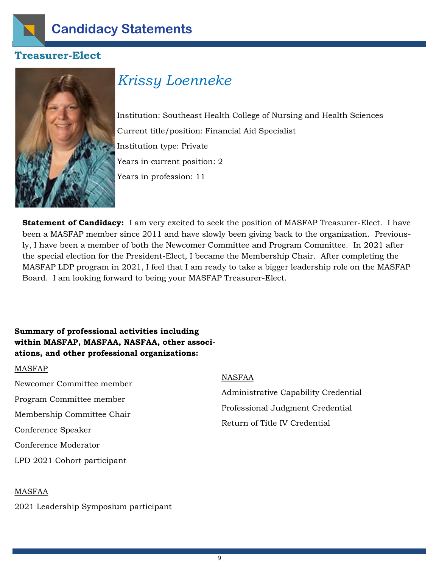

### **Treasurer-Elect**



## *Krissy Loenneke*

Institution: Southeast Health College of Nursing and Health Sciences Current title/position: Financial Aid Specialist Institution type: Private Years in current position: 2 Years in profession: 11

**Statement of Candidacy:** I am very excited to seek the position of MASFAP Treasurer-Elect. I have been a MASFAP member since 2011 and have slowly been giving back to the organization. Previously, I have been a member of both the Newcomer Committee and Program Committee. In 2021 after the special election for the President-Elect, I became the Membership Chair. After completing the MASFAP LDP program in 2021, I feel that I am ready to take a bigger leadership role on the MASFAP Board. I am looking forward to being your MASFAP Treasurer-Elect.

### **Summary of professional activities including within MASFAP, MASFAA, NASFAA, other associations, and other professional organizations:**

#### MASFAP

Newcomer Committee member Program Committee member Membership Committee Chair Conference Speaker Conference Moderator LPD 2021 Cohort participant

#### NASFAA

Administrative Capability Credential Professional Judgment Credential Return of Title IV Credential

#### MASFAA

2021 Leadership Symposium participant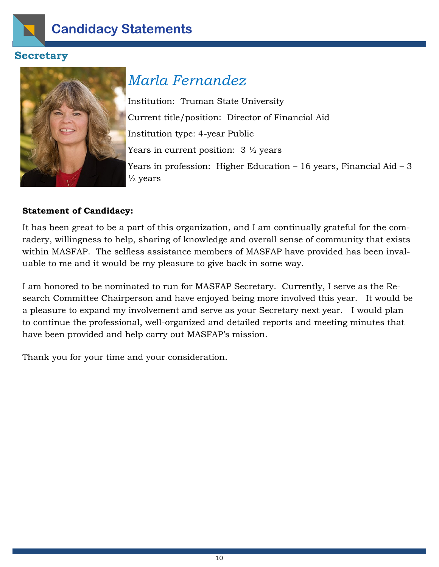

### **Secretary**



## *Marla Fernandez*

Institution: Truman State University Current title/position: Director of Financial Aid Institution type: 4-year Public Years in current position:  $3\frac{1}{2}$  years Years in profession: Higher Education – 16 years, Financial Aid – 3  $\frac{1}{2}$  years

### **Statement of Candidacy:**

It has been great to be a part of this organization, and I am continually grateful for the comradery, willingness to help, sharing of knowledge and overall sense of community that exists within MASFAP. The selfless assistance members of MASFAP have provided has been invaluable to me and it would be my pleasure to give back in some way.

I am honored to be nominated to run for MASFAP Secretary. Currently, I serve as the Research Committee Chairperson and have enjoyed being more involved this year. It would be a pleasure to expand my involvement and serve as your Secretary next year. I would plan to continue the professional, well-organized and detailed reports and meeting minutes that have been provided and help carry out MASFAP's mission.

Thank you for your time and your consideration.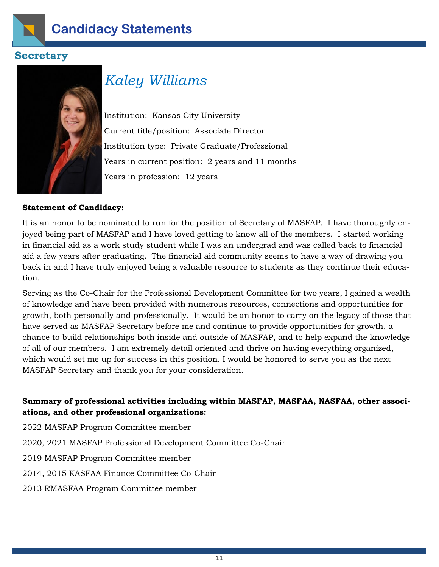

### **Secretary**



## *Kaley Williams*

Institution: Kansas City University Current title/position: Associate Director Institution type: Private Graduate/Professional Years in current position: 2 years and 11 months Years in profession: 12 years

#### **Statement of Candidacy:**

It is an honor to be nominated to run for the position of Secretary of MASFAP. I have thoroughly enjoyed being part of MASFAP and I have loved getting to know all of the members. I started working in financial aid as a work study student while I was an undergrad and was called back to financial aid a few years after graduating. The financial aid community seems to have a way of drawing you back in and I have truly enjoyed being a valuable resource to students as they continue their education.

Serving as the Co-Chair for the Professional Development Committee for two years, I gained a wealth of knowledge and have been provided with numerous resources, connections and opportunities for growth, both personally and professionally. It would be an honor to carry on the legacy of those that have served as MASFAP Secretary before me and continue to provide opportunities for growth, a chance to build relationships both inside and outside of MASFAP, and to help expand the knowledge of all of our members. I am extremely detail oriented and thrive on having everything organized, which would set me up for success in this position. I would be honored to serve you as the next MASFAP Secretary and thank you for your consideration.

### **Summary of professional activities including within MASFAP, MASFAA, NASFAA, other associations, and other professional organizations:**

2022 MASFAP Program Committee member

2020, 2021 MASFAP Professional Development Committee Co-Chair

2019 MASFAP Program Committee member

2014, 2015 KASFAA Finance Committee Co-Chair

2013 RMASFAA Program Committee member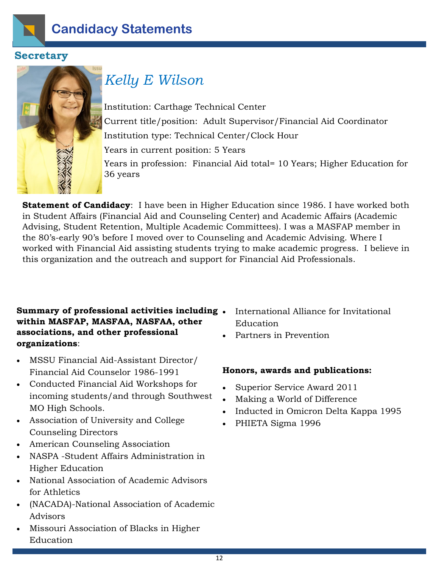

### **Secretary**



## *Kelly E Wilson*

Institution: Carthage Technical Center Current title/position: Adult Supervisor/Financial Aid Coordinator Institution type: Technical Center/Clock Hour Years in current position: 5 Years Years in profession: Financial Aid total= 10 Years; Higher Education for 36 years

**Statement of Candidacy**: I have been in Higher Education since 1986. I have worked both in Student Affairs (Financial Aid and Counseling Center) and Academic Affairs (Academic Advising, Student Retention, Multiple Academic Committees). I was a MASFAP member in the 80's-early 90's before I moved over to Counseling and Academic Advising. Where I worked with Financial Aid assisting students trying to make academic progress. I believe in this organization and the outreach and support for Financial Aid Professionals.

### **Summary of professional activities including within MASFAP, MASFAA, NASFAA, other associations, and other professional organizations**:

- MSSU Financial Aid-Assistant Director/ Financial Aid Counselor 1986-1991
- Conducted Financial Aid Workshops for incoming students/and through Southwest MO High Schools.
- Association of University and College Counseling Directors
- American Counseling Association
- NASPA -Student Affairs Administration in Higher Education
- National Association of Academic Advisors for Athletics
- (NACADA)-National Association of Academic Advisors
- Missouri Association of Blacks in Higher Education
- International Alliance for Invitational Education
- Partners in Prevention

### **Honors, awards and publications:**

- Superior Service Award 2011
- Making a World of Difference
- Inducted in Omicron Delta Kappa 1995
- PHIETA Sigma 1996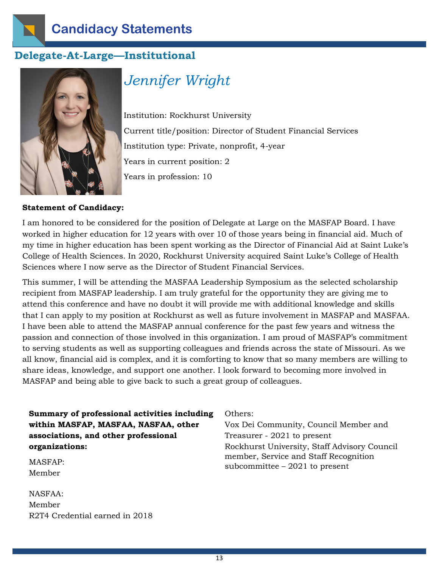

### **Delegate-At-Large—Institutional**



## *Jennifer Wright*

Institution: Rockhurst University Current title/position: Director of Student Financial Services Institution type: Private, nonprofit, 4-year Years in current position: 2 Years in profession: 10

#### **Statement of Candidacy:**

I am honored to be considered for the position of Delegate at Large on the MASFAP Board. I have worked in higher education for 12 years with over 10 of those years being in financial aid. Much of my time in higher education has been spent working as the Director of Financial Aid at Saint Luke's College of Health Sciences. In 2020, Rockhurst University acquired Saint Luke's College of Health Sciences where I now serve as the Director of Student Financial Services.

This summer, I will be attending the MASFAA Leadership Symposium as the selected scholarship recipient from MASFAP leadership. I am truly grateful for the opportunity they are giving me to attend this conference and have no doubt it will provide me with additional knowledge and skills that I can apply to my position at Rockhurst as well as future involvement in MASFAP and MASFAA. I have been able to attend the MASFAP annual conference for the past few years and witness the passion and connection of those involved in this organization. I am proud of MASFAP's commitment to serving students as well as supporting colleagues and friends across the state of Missouri. As we all know, financial aid is complex, and it is comforting to know that so many members are willing to share ideas, knowledge, and support one another. I look forward to becoming more involved in MASFAP and being able to give back to such a great group of colleagues.

**Summary of professional activities including within MASFAP, MASFAA, NASFAA, other associations, and other professional organizations:**

MASFAP: Member

NASFAA: Member R2T4 Credential earned in 2018 Others:

Vox Dei Community, Council Member and Treasurer - 2021 to present Rockhurst University, Staff Advisory Council member, Service and Staff Recognition subcommittee – 2021 to present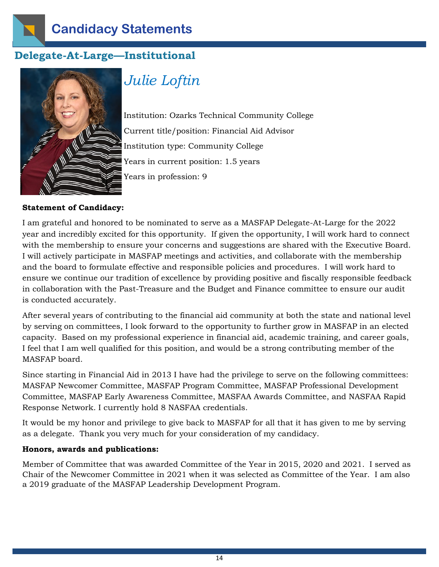

### **Delegate-At-Large—Institutional**



## *Julie Loftin*

Institution: Ozarks Technical Community College Current title/position: Financial Aid Advisor Institution type: Community College Years in current position: 1.5 years Years in profession: 9

#### **Statement of Candidacy:**

I am grateful and honored to be nominated to serve as a MASFAP Delegate-At-Large for the 2022 year and incredibly excited for this opportunity. If given the opportunity, I will work hard to connect with the membership to ensure your concerns and suggestions are shared with the Executive Board. I will actively participate in MASFAP meetings and activities, and collaborate with the membership and the board to formulate effective and responsible policies and procedures. I will work hard to ensure we continue our tradition of excellence by providing positive and fiscally responsible feedback in collaboration with the Past-Treasure and the Budget and Finance committee to ensure our audit is conducted accurately.

After several years of contributing to the financial aid community at both the state and national level by serving on committees, I look forward to the opportunity to further grow in MASFAP in an elected capacity. Based on my professional experience in financial aid, academic training, and career goals, I feel that I am well qualified for this position, and would be a strong contributing member of the MASFAP board.

Since starting in Financial Aid in 2013 I have had the privilege to serve on the following committees: MASFAP Newcomer Committee, MASFAP Program Committee, MASFAP Professional Development Committee, MASFAP Early Awareness Committee, MASFAA Awards Committee, and NASFAA Rapid Response Network. I currently hold 8 NASFAA credentials.

It would be my honor and privilege to give back to MASFAP for all that it has given to me by serving as a delegate. Thank you very much for your consideration of my candidacy.

#### **Honors, awards and publications:**

Member of Committee that was awarded Committee of the Year in 2015, 2020 and 2021. I served as Chair of the Newcomer Committee in 2021 when it was selected as Committee of the Year. I am also a 2019 graduate of the MASFAP Leadership Development Program.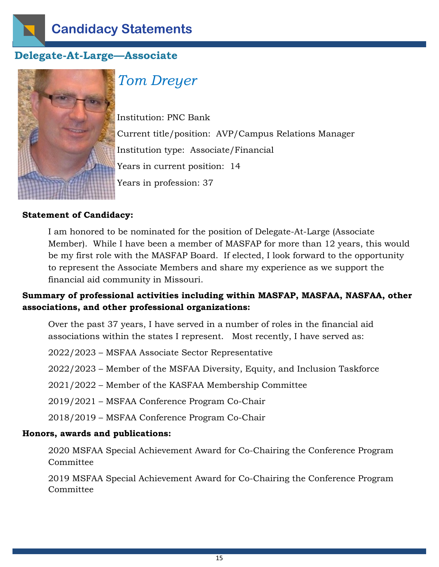

### **Delegate-At-Large—Associate**



## *Tom Dreyer*

Institution: PNC Bank Current title/position: AVP/Campus Relations Manager Institution type: Associate/Financial Years in current position: 14 Years in profession: 37

#### **Statement of Candidacy:**

I am honored to be nominated for the position of Delegate-At-Large (Associate Member). While I have been a member of MASFAP for more than 12 years, this would be my first role with the MASFAP Board. If elected, I look forward to the opportunity to represent the Associate Members and share my experience as we support the financial aid community in Missouri.

### **Summary of professional activities including within MASFAP, MASFAA, NASFAA, other associations, and other professional organizations:**

Over the past 37 years, I have served in a number of roles in the financial aid associations within the states I represent. Most recently, I have served as:

2022/2023 – MSFAA Associate Sector Representative

2022/2023 – Member of the MSFAA Diversity, Equity, and Inclusion Taskforce

2021/2022 – Member of the KASFAA Membership Committee

2019/2021 – MSFAA Conference Program Co-Chair

2018/2019 – MSFAA Conference Program Co-Chair

#### **Honors, awards and publications:**

2020 MSFAA Special Achievement Award for Co-Chairing the Conference Program Committee

2019 MSFAA Special Achievement Award for Co-Chairing the Conference Program Committee